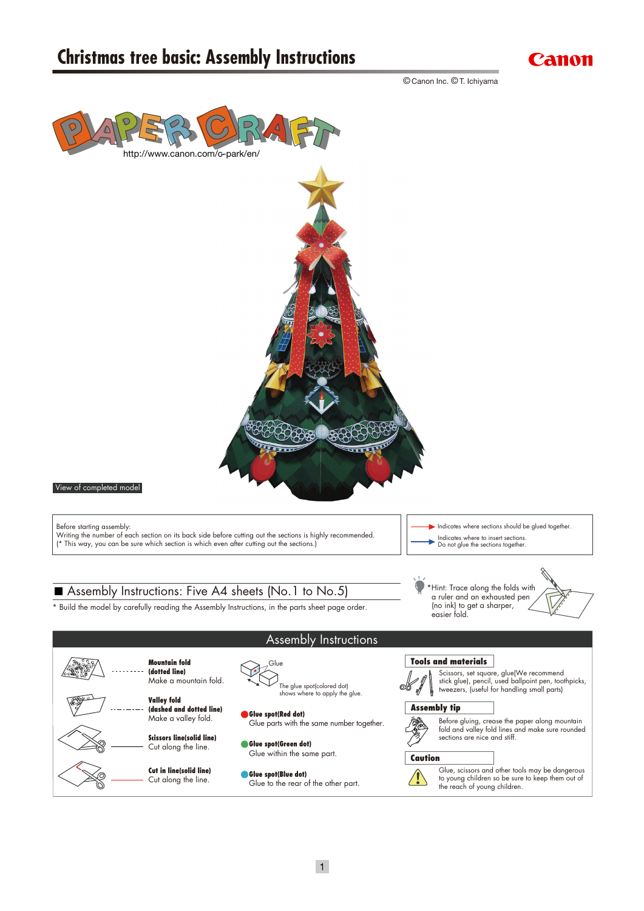

© Canon Inc. © T. Ichiyama

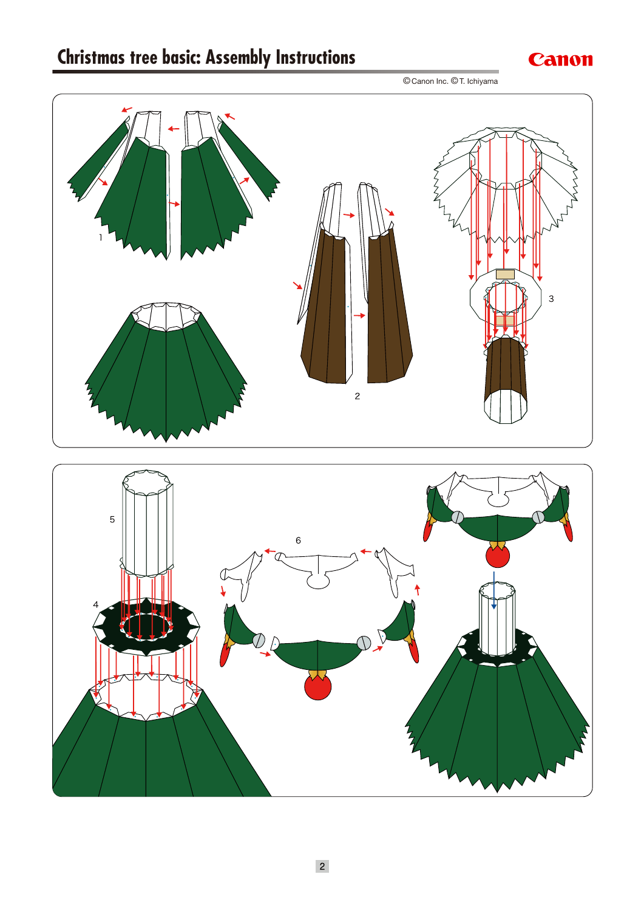

© Canon Inc. © T. Ichiyama

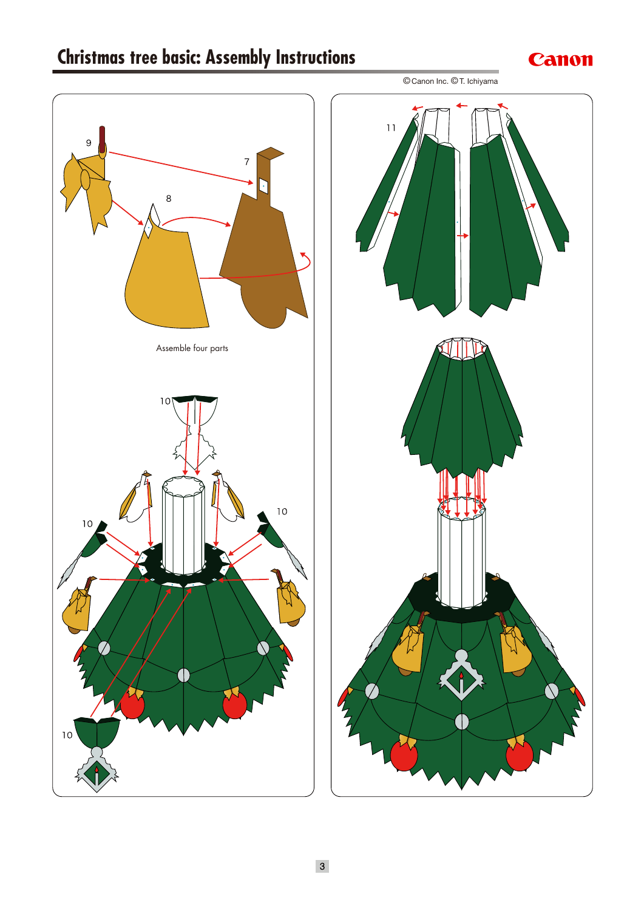### Canon





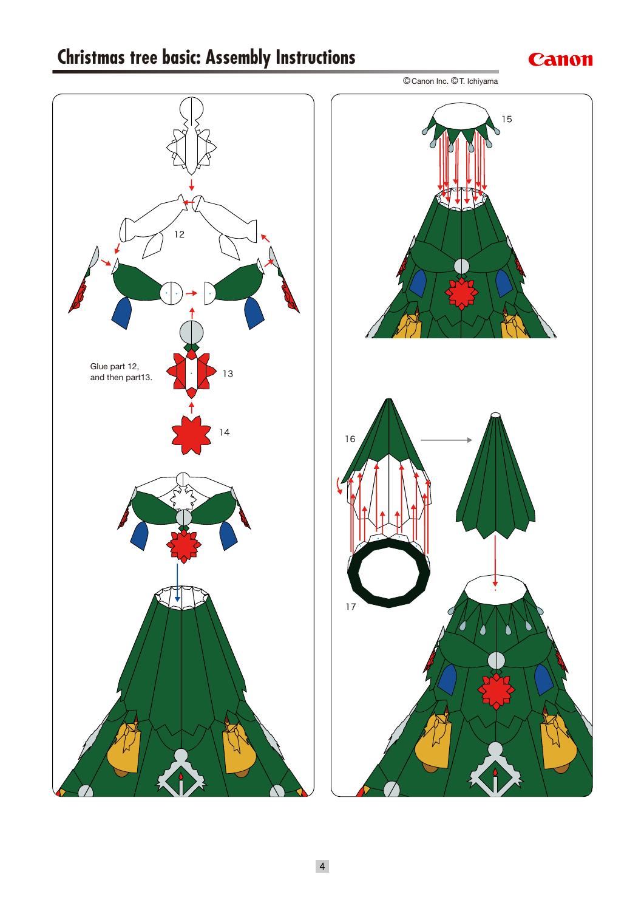